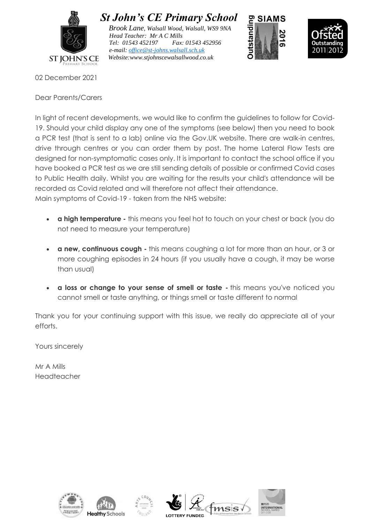

 *St John's CE Primary School*

 *Brook Lane, Walsall Wood, Walsall, WS9 9NA Head Teacher: Mr A C Mills Tel: 01543 452197 Fax: 01543 452956 e-mail: [office@st-johns.walsall.sch.uk](mailto:office@st-johns.walsall.sch.uk) Website:www.stjohnscewalsallwood.co.uk*





02 December 2021

Dear Parents/Carers

In light of recent developments, we would like to confirm the guidelines to follow for Covid-19. Should your child display any one of the symptoms (see below) then you need to book a PCR test (that is sent to a lab) online via the Gov.UK website. There are walk-in centres, drive through centres or you can order them by post. The home Lateral Flow Tests are designed for non-symptomatic cases only. It is important to contact the school office if you have booked a PCR test as we are still sending details of possible or confirmed Covid cases to Public Health daily. Whilst you are waiting for the results your child's attendance will be recorded as Covid related and will therefore not affect their attendance. Main symptoms of Covid-19 - taken from the NHS website:

- **a high temperature -** this means you feel hot to touch on your chest or back (you do not need to measure your temperature)
- **a new, continuous cough -** this means coughing a lot for more than an hour, or 3 or more coughing episodes in 24 hours (if you usually have a cough, it may be worse than usual)
- **a loss or change to your sense of smell or taste -** this means you've noticed you cannot smell or taste anything, or things smell or taste different to normal

Thank you for your continuing support with this issue, we really do appreciate all of your efforts.

Yours sincerely

Mr A Mills Headteacher